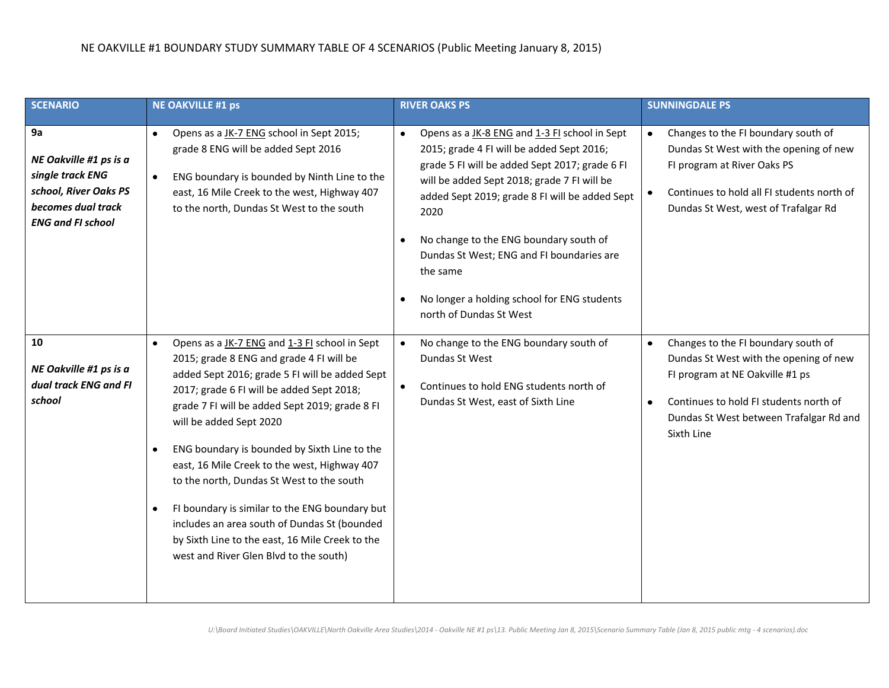| <b>SCENARIO</b>                                                                                                             | <b>NE OAKVILLE #1 ps</b>                                                                                                                                                                                                                                                                                                                                                                                                                                                                                                                                                                                                                                 | <b>RIVER OAKS PS</b>                                                                                                                                                                                                                                                                                                                                                                                                                                                      | <b>SUNNINGDALE PS</b>                                                                                                                                                                                                                 |
|-----------------------------------------------------------------------------------------------------------------------------|----------------------------------------------------------------------------------------------------------------------------------------------------------------------------------------------------------------------------------------------------------------------------------------------------------------------------------------------------------------------------------------------------------------------------------------------------------------------------------------------------------------------------------------------------------------------------------------------------------------------------------------------------------|---------------------------------------------------------------------------------------------------------------------------------------------------------------------------------------------------------------------------------------------------------------------------------------------------------------------------------------------------------------------------------------------------------------------------------------------------------------------------|---------------------------------------------------------------------------------------------------------------------------------------------------------------------------------------------------------------------------------------|
| 9a<br>NE Oakville #1 ps is a<br>single track ENG<br>school, River Oaks PS<br>becomes dual track<br><b>ENG and FI school</b> | Opens as a JK-7 ENG school in Sept 2015;<br>$\bullet$<br>grade 8 ENG will be added Sept 2016<br>ENG boundary is bounded by Ninth Line to the<br>$\bullet$<br>east, 16 Mile Creek to the west, Highway 407<br>to the north, Dundas St West to the south                                                                                                                                                                                                                                                                                                                                                                                                   | Opens as a JK-8 ENG and 1-3 FI school in Sept<br>$\bullet$<br>2015; grade 4 FI will be added Sept 2016;<br>grade 5 FI will be added Sept 2017; grade 6 FI<br>will be added Sept 2018; grade 7 FI will be<br>added Sept 2019; grade 8 FI will be added Sept<br>2020<br>No change to the ENG boundary south of<br>$\bullet$<br>Dundas St West; ENG and FI boundaries are<br>the same<br>No longer a holding school for ENG students<br>$\bullet$<br>north of Dundas St West | Changes to the FI boundary south of<br>$\bullet$<br>Dundas St West with the opening of new<br>FI program at River Oaks PS<br>Continues to hold all FI students north of<br>Dundas St West, west of Trafalgar Rd                       |
| 10<br>NE Oakville #1 ps is a<br>dual track ENG and FI<br>school                                                             | Opens as a JK-7 ENG and 1-3 FI school in Sept<br>$\bullet$<br>2015; grade 8 ENG and grade 4 FI will be<br>added Sept 2016; grade 5 FI will be added Sept<br>2017; grade 6 FI will be added Sept 2018;<br>grade 7 FI will be added Sept 2019; grade 8 FI<br>will be added Sept 2020<br>ENG boundary is bounded by Sixth Line to the<br>$\bullet$<br>east, 16 Mile Creek to the west, Highway 407<br>to the north, Dundas St West to the south<br>FI boundary is similar to the ENG boundary but<br>$\bullet$<br>includes an area south of Dundas St (bounded<br>by Sixth Line to the east, 16 Mile Creek to the<br>west and River Glen Blvd to the south) | No change to the ENG boundary south of<br>$\bullet$<br>Dundas St West<br>Continues to hold ENG students north of<br>$\bullet$<br>Dundas St West, east of Sixth Line                                                                                                                                                                                                                                                                                                       | Changes to the FI boundary south of<br>$\bullet$<br>Dundas St West with the opening of new<br>FI program at NE Oakville #1 ps<br>Continues to hold FI students north of<br>٠<br>Dundas St West between Trafalgar Rd and<br>Sixth Line |